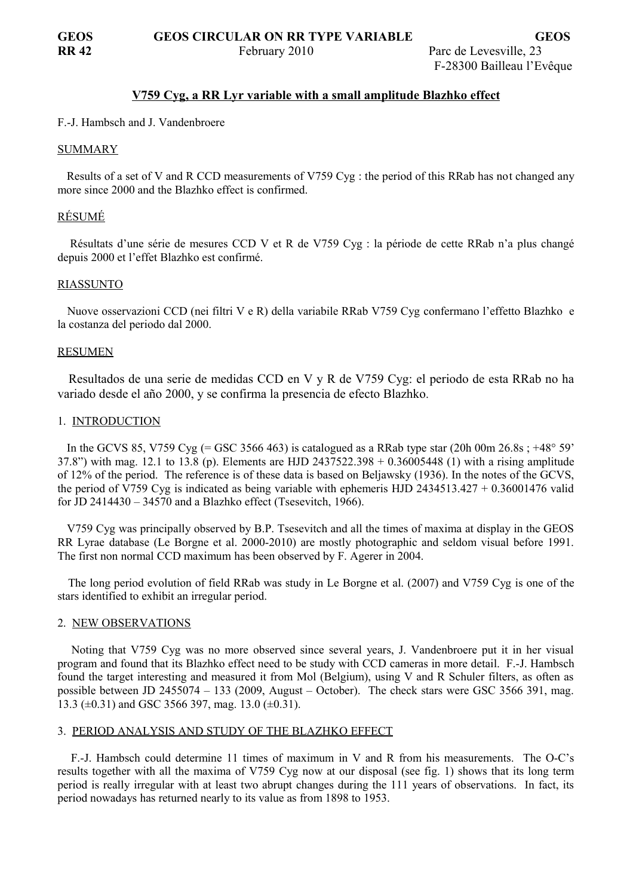## **V759 Cyg , a RR Lyr variable with a small amplitude Blazhko effect**

## F.-J. Hambsch and J. Vandenbroere

#### SUMMARY

 Results of a set of V and R CCD measurements of V759 Cyg : the period of this RRab has not changed any more since 2000 and the Blazhko effect is confirmed.

## RÉSUMÉ

 Résultats d'une série de mesures CCD V et R de V759 Cyg : la période de cette RRab n'a plus changé depuis 2000 et l'effet Blazhko est confirmé.

#### RIASSUNTO

 Nuove osservazioni CCD (nei filtri V e R) della variabile RRab V759 Cyg confermano l'effetto Blazhko e la costanza del periodo dal 2000.

#### RESUMEN

 Resultados de una serie de medidas CCD en V y R de V759 Cyg: el periodo de esta RRab no ha variado desde el año 2000, y se confirma la presencia de efecto Blazhko.

#### 1. INTRODUCTION

In the GCVS 85, V759 Cyg (= GSC 3566 463) is catalogued as a RRab type star (20h 00m 26.8s; +48° 59' 37.8") with mag. 12.1 to 13.8 (p). Elements are HJD 2437522.398 + 0.36005448 (1) with a rising amplitude of 12% of the period. The reference is of these data is based on Beljawsky (1936). In the notes of the GCVS, the period of V759 Cyg is indicated as being variable with ephemeris HJD 2434513.427  $+ 0.36001476$  valid for JD 2414430 – 34570 and a Blazhko effect (Tsesevitch, 1966).

 V759 Cyg was principally observed by B.P. Tsesevitch and all the times of maxima at display in the GEOS RR Lyrae database (Le Borgne et al. 2000-2010) are mostly photographic and seldom visual before 1991. The first non normal CCD maximum has been observed by F. Agerer in 2004.

 The long period evolution of field RRab was study in Le Borgne et al. (2007) and V759 Cyg is one of the stars identified to exhibit an irregular period.

#### 2. NEW OBSERVATIONS

 Noting that V759 Cyg was no more observed since several years, J. Vandenbroere put it in her visual program and found that its Blazhko effect need to be study with CCD cameras in more detail. F.-J. Hambsch found the target interesting and measured it from Mol (Belgium), using V and R Schuler filters, as often as possible between JD 2455074 – 133 (2009, August – October). The check stars were GSC 3566 391, mag. 13.3 ( $\pm$ 0.31) and GSC 3566 397, mag. 13.0 ( $\pm$ 0.31).

# 3. PERIOD ANALYSIS AND STUDY OF THE BLAZHKO EFFECT

 F.-J. Hambsch could determine 11 times of maximum in V and R from his measurements. The O-C's results together with all the maxima of V759 Cyg now at our disposal (see fig. 1) shows that its long term period is really irregular with at least two abrupt changes during the 111 years of observations. In fact, its period nowadays has returned nearly to its value as from 1898 to 1953.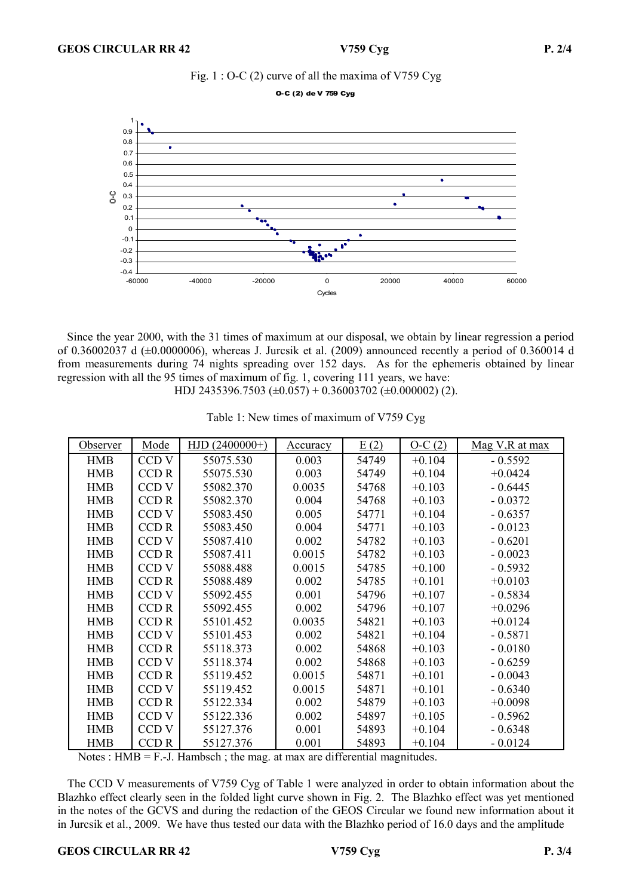

O-C (2) de V 759 Cyg



 Since the year 2000, with the 31 times of maximum at our disposal, we obtain by linear regression a period of 0.36002037 d  $(\pm 0.0000006)$ , whereas J. Jurcsik et al. (2009) announced recently a period of 0.360014 d from measurements during 74 nights spreading over 152 days. As for the ephemeris obtained by linear regression with all the 95 times of maximum of fig. 1, covering 111 years, we have: HDJ 2435396.7503 (±0.057) + 0.36003702 (±0.000002) (2).

| Observer   | Mode             | $HJD(2400000+)$ | <u>Accuracy</u> | E(2)  | $O-C(2)$ | Mag V, R at max |
|------------|------------------|-----------------|-----------------|-------|----------|-----------------|
|            |                  |                 |                 |       |          |                 |
| <b>HMB</b> | CCD V            | 55075.530       | 0.003           | 54749 | $+0.104$ | $-0.5592$       |
| <b>HMB</b> | <b>CCDR</b>      | 55075.530       | 0.003           | 54749 | $+0.104$ | $+0.0424$       |
| <b>HMB</b> | CCD <sub>V</sub> | 55082.370       | 0.0035          | 54768 | $+0.103$ | $-0.6445$       |
| <b>HMB</b> | <b>CCDR</b>      | 55082.370       | 0.004           | 54768 | $+0.103$ | $-0.0372$       |
| <b>HMB</b> | CCD <sub>V</sub> | 55083.450       | 0.005           | 54771 | $+0.104$ | $-0.6357$       |
| <b>HMB</b> | CCD R            | 55083.450       | 0.004           | 54771 | $+0.103$ | $-0.0123$       |
| <b>HMB</b> | CCD V            | 55087.410       | 0.002           | 54782 | $+0.103$ | $-0.6201$       |
| <b>HMB</b> | <b>CCDR</b>      | 55087.411       | 0.0015          | 54782 | $+0.103$ | $-0.0023$       |
| <b>HMB</b> | CCD <sub>V</sub> | 55088.488       | 0.0015          | 54785 | $+0.100$ | $-0.5932$       |
| <b>HMB</b> | <b>CCDR</b>      | 55088.489       | 0.002           | 54785 | $+0.101$ | $+0.0103$       |
| <b>HMB</b> | CCD <sub>V</sub> | 55092.455       | 0.001           | 54796 | $+0.107$ | $-0.5834$       |
| <b>HMB</b> | <b>CCDR</b>      | 55092.455       | 0.002           | 54796 | $+0.107$ | $+0.0296$       |
| <b>HMB</b> | <b>CCDR</b>      | 55101.452       | 0.0035          | 54821 | $+0.103$ | $+0.0124$       |
| <b>HMB</b> | CCD <sub>V</sub> | 55101.453       | 0.002           | 54821 | $+0.104$ | $-0.5871$       |
| <b>HMB</b> | <b>CCDR</b>      | 55118.373       | 0.002           | 54868 | $+0.103$ | $-0.0180$       |
| <b>HMB</b> | CCD V            | 55118.374       | 0.002           | 54868 | $+0.103$ | $-0.6259$       |
| <b>HMB</b> | CCD R            | 55119.452       | 0.0015          | 54871 | $+0.101$ | $-0.0043$       |
| <b>HMB</b> | CCD <sub>V</sub> | 55119.452       | 0.0015          | 54871 | $+0.101$ | $-0.6340$       |
| <b>HMB</b> | <b>CCDR</b>      | 55122.334       | 0.002           | 54879 | $+0.103$ | $+0.0098$       |
| <b>HMB</b> | CCD <sub>V</sub> | 55122.336       | 0.002           | 54897 | $+0.105$ | $-0.5962$       |
| <b>HMB</b> | CCD <sub>V</sub> | 55127.376       | 0.001           | 54893 | $+0.104$ | $-0.6348$       |
| <b>HMB</b> | CCD <sub>R</sub> | 55127.376       | 0.001           | 54893 | $+0.104$ | $-0.0124$       |

Table 1: New times of maximum of V759 Cyg

Notes :  $HMB = F.-J$ . Hambsch ; the mag. at max are differential magnitudes.

 The CCD V measurements of V759 Cyg of Table 1 were analyzed in order to obtain information about the Blazhko effect clearly seen in the folded light curve shown in Fig. 2. The Blazhko effect was yet mentioned in the notes of the GCVS and during the redaction of the GEOS Circular we found new information about it in Jurcsik et al., 2009. We have thus tested our data with the Blazhko period of 16.0 days and the amplitude

#### GEOS CIRCULAR RR 42 V759 Cyg P. 3/4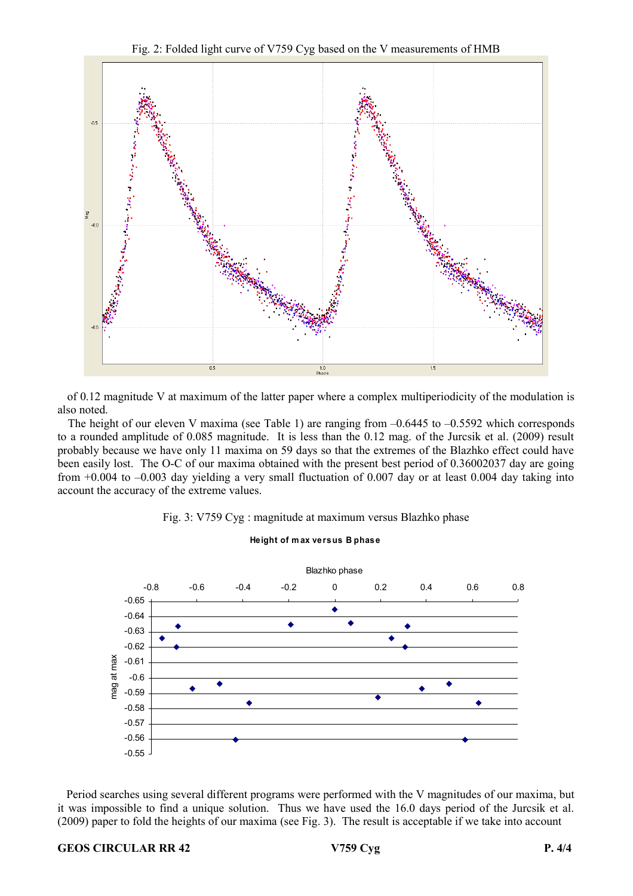Fig. 2: Folded light curve of V759 Cyg based on the V measurements of HMB



 of 0.12 magnitude V at maximum of the latter paper where a complex multiperiodicity of the modulation is also noted.

The height of our eleven V maxima (see Table 1) are ranging from  $-0.6445$  to  $-0.5592$  which corresponds to a rounded amplitude of 0.085 magnitude. It is less than the 0.12 mag. of the Jurcsik et al. (2009) result probably because we have only 11 maxima on 59 days so that the extremes of the Blazhko effect could have been easily lost. The O-C of our maxima obtained with the present best period of 0.36002037 day are going from +0.004 to –0.003 day yielding a very small fluctuation of 0.007 day or at least 0.004 day taking into account the accuracy of the extreme values.





**Height of m ax versus B phase**

 Period searches using several different programs were performed with the V magnitudes of our maxima, but it was impossible to find a unique solution. Thus we have used the 16.0 days period of the Jurcsik et al. (2009) paper to fold the heights of our maxima (see Fig. 3). The result is acceptable if we take into account